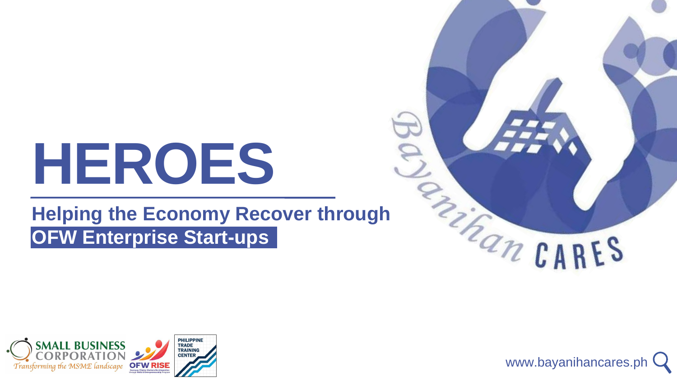# **HEROES**

## **Helping the Economy Recover through OFW Enterprise Start-ups**









www.bayanihancares.ph





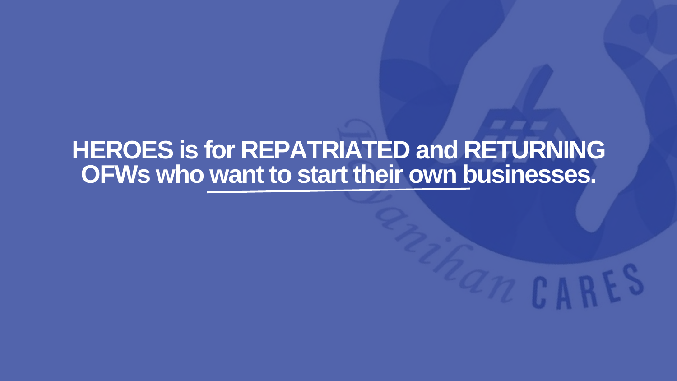## **HEROES is for REPATRIATED and RETURNING OFWs who want to start their own businesses.**

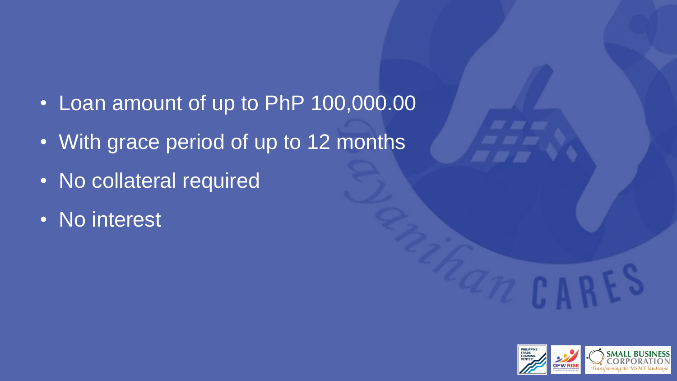- Loan amount of up to PhP 100,000.00
- With grace period of up to 12 months
- No collateral required
- No interest





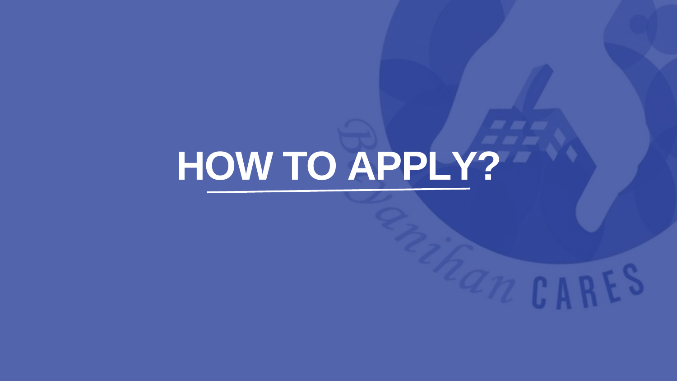## **HOW TO APPLY?**

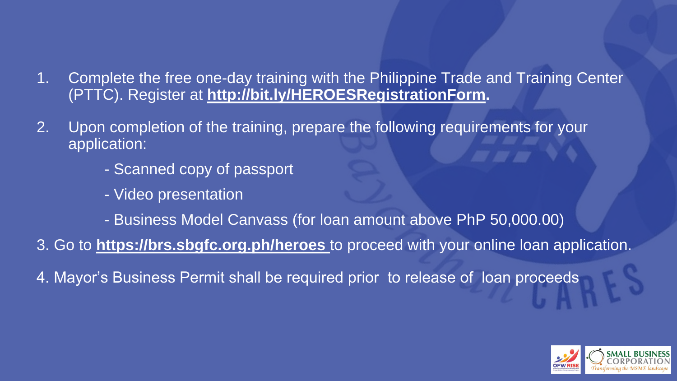## 1. Complete the free one-day training with the Philippine Trade and Training Center (PTTC). Register at **[http://bit.ly/HEROESRegistrationForm.](http://bit.ly/HEROESRefistrationForm)**

- 2. Upon completion of the training, prepare the following requirements for your application:
	- Scanned copy of passport
	- Video presentation
	-
- 
- 4. Mayor's Business Permit shall be required prior to release of loan proceeds

- Business Model Canvass (for loan amount above PhP 50,000.00) 3. Go to **<https://brs.sbgfc.org.ph/heroes>** to proceed with your online loan application.



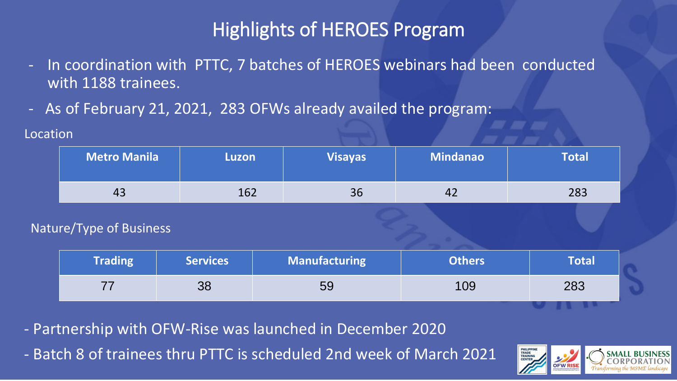## Highlights of HEROES Program

- In coordination with PTTC, 7 batches of HEROES webinars had been conducted with 1188 trainees.
- As of February 21, 2021, 283 OFWs already availed the program:

**Location** 

- Partnership with OFW-Rise was launched in December 2020 - Batch 8 of trainees thru PTTC is scheduled 2nd week of March 2021





| <b>Metro Manila</b> | Luzon           |                      | <b>Visayas</b> | Mindanao      | <b>Total</b> |  |
|---------------------|-----------------|----------------------|----------------|---------------|--------------|--|
| 43                  | 162             |                      | 36             | 42            | 283          |  |
| e/Type of Business  |                 |                      |                |               |              |  |
| <b>Trading</b>      | <b>Services</b> | <b>Manufacturing</b> |                | <b>Others</b> | <b>Total</b> |  |
| 77                  | 38              | 59                   |                | 109           | 283          |  |

Natu

| <b>Metro Manila</b> | Luzon           | <b>Visayas</b>       | Mindanao      | <b>Total</b> |
|---------------------|-----------------|----------------------|---------------|--------------|
| 43                  | 162             | 36                   | 42            | 283          |
| re/Type of Business |                 |                      |               |              |
| <b>Trading</b>      | <b>Services</b> | <b>Manufacturing</b> | <b>Others</b> | <b>Total</b> |
| 77                  | 38              | 59                   | 109           | 283          |